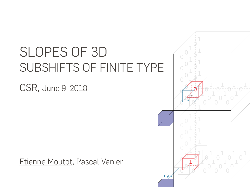# SLOPES OF 3D SUBSHIFTS OF FINITE TYPE

CSR, June 9, 2018

Etienne Moutot, Pascal Vanier

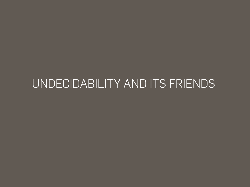#### UNDECIDABILITY AND ITS FRIENDS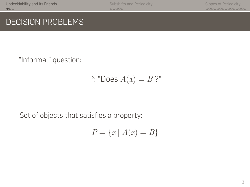# DECISION PROBLEMS

Undecidability and its Friends Subshifts and Periodicity Slopes of Periodicity

"Informal" question:

P: "Does 
$$
A(x) = B
$$
?"

Set of objects that satisfies a property:

$$
P = \{x \mid A(x) = B\}
$$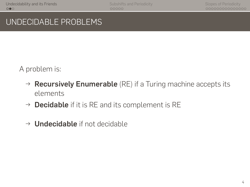Undecidability and its Friends<br>  $\overline{S}$  Slopes of Periodicity<br>  $\overline{O}$   $\overline{O}$   $\overline{O}$   $\overline{O}$   $\overline{O}$   $\overline{O}$   $\overline{O}$   $\overline{O}$   $\overline{O}$   $\overline{O}$   $\overline{O}$   $\overline{O}$   $\overline{O}$   $\overline{O}$   $\overline{O}$   $\overline{O}$   $\overline{O}$   $\overline{$ 

4

UNDECIDABLE PROBLEMS

A problem is:

- $\rightarrow$  **Recursively Enumerable** (RE) if a Turing machine accepts its elements
- $\rightarrow$  Decidable if it is RE and its complement is RE
- $\rightarrow$  **Undecidable** if not decidable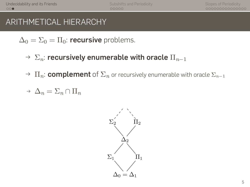# Undecidability and its Friends<br>  $\begin{array}{r} \text{Subshifts and Periodicity} \\ \text{00000} \\ \text{00000} \end{array}$  Slopes of Periodicity

#### ARITHMETICAL HIERARCHY

 $\Delta_0 = \Sigma_0 = \Pi_0$ : recursive problems.

- → Σ*n*: recursively enumerable with oracle Π*n−*<sup>1</sup>
- → Π*n*: complement of Σ*<sup>n</sup>* or recursively enumerable with oracle <sup>Σ</sup>*<sup>n</sup>−*<sup>1</sup>
- $\rightarrow \Delta_n = \Sigma_n \cap \Pi_n$

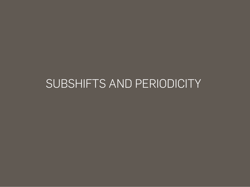## SUBSHIFTS AND PERIODICITY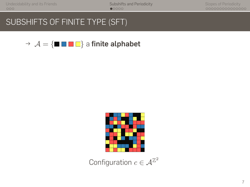

 $\rightarrow$   $\mathcal{A} = \{ \blacksquare \blacksquare \blacksquare \}$  a finite alphabet



Configuration  $c \in \mathcal{A}^{\mathbb{Z}^2}$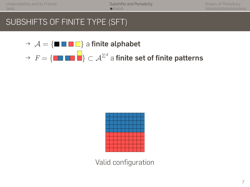



Valid configuration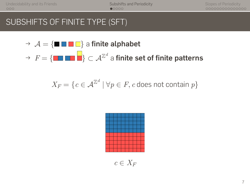

$$
X_F = \{ c \in \mathcal{A}^{\mathbb{Z}^d} \mid \forall p \in F, c \text{ does not contain } p \}
$$

| $\in X_F$<br>$\mathcal{C}_{0}^{2}$ |  |  |  |  |  |  |  |  |  |
|------------------------------------|--|--|--|--|--|--|--|--|--|
|                                    |  |  |  |  |  |  |  |  |  |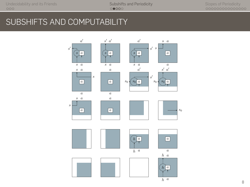

 $h$   $\lfloor$  $h^+$  $\overline{a}$ a

#### SUBSHIFTS AND COMPUTABILITY

Undecidability and its Friends Subshifts and Periodicity Subshifts and Periodicity Slopes of Periodicity Subshifts and Periodicity Subshifts and Periodicity Subshifts and Periodicity Subshifts and Periodicity Subshifts and

8

 $s_0$ 

 $\boxed{a}$ 

 $\overline{\phantom{0}}$ 

 $\begin{array}{cc} a \\ h & a \end{array}$ 

 $h\left[\overline{a}\right]$ h a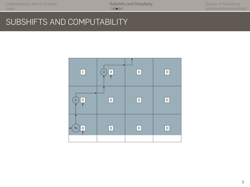| $\vert 1 \vert$       | $\boldsymbol{s}$<br>U | $\boxed{0}$ | $\boxed{0}$ |
|-----------------------|-----------------------|-------------|-------------|
| $\boldsymbol{s}$<br>U | $\lceil 0 \rceil$     | $\boxed{0}$ | $\boxed{0}$ |
| $s_0$<br>U            | $\boxed{0}$           | $\boxed{0}$ | $\boxed{0}$ |
|                       |                       |             |             |

#### SUBSHIFTS AND COMPUTABILITY

Undecidability and its Friends Subshifts and Periodicity Slopes of Periodicity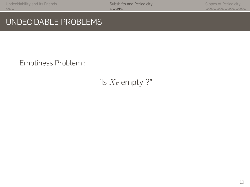Undecidability and its Friends Subshifts and Periodicity Slopes of Periodicity UNDECIDABLE PROBLEMS

Emptiness Problem :

"Is  $X_F$  empty?"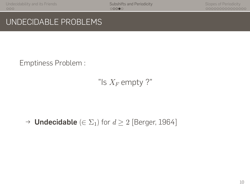## Undecidability and its Friends Subshifts and Periodicity Slopes of Periodicity UNDECIDABLE PROBLEMS

Emptiness Problem :

"Is *X<sup>F</sup>* empty ?"

 $\rightarrow$  **Undecidable** ( $\in \Sigma_1$ ) for  $d \geq 2$  [Berger, 1964]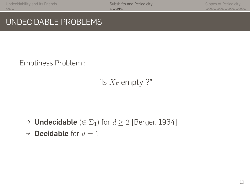## Undecidability and its Friends Subshifts and Periodicity Slopes of Periodicity UNDECIDABLE PROBLEMS

Emptiness Problem :

"Is *X<sup>F</sup>* empty ?"

- $\rightarrow$  **Undecidable** ( $\in \Sigma_1$ ) for  $d \geq 2$  [Berger, 1964]
- $\rightarrow$  **Decidable** for  $d = 1$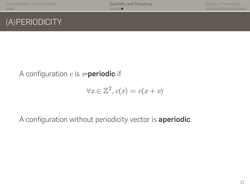Undecidability and its Friends Subshifts and Periodicity Slopes of Periodicity (A)PERIODICITY

A configuration *c* is *v*-periodic if

$$
\forall x \in \mathbb{Z}^2, c(x) = c(x + v)
$$

A configuration without periodicity vector is aperiodic.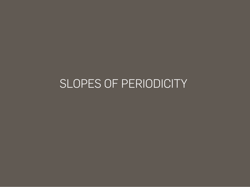#### SLOPES OF PERIODICITY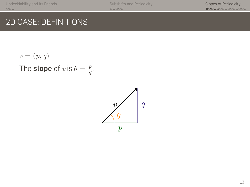# 2D CASE: DEFINITIONS

Undecidability and its Friends Subshifts and Periodicity Subshifts and Periodicity Subshifts and Periodicity Subshifts and Periodicity Subshifts and Periodicity Subshifts and Periodicity Subshifts and Periodicity Subshifts

 $v = (p, q)$ . The **slope** of *v* is  $\theta = \frac{p}{q}$  $\frac{p}{q}$ .

$$
\left(\begin{array}{c}\n\\ \n\\ \n\\ \n\\ \n\\ \n\\ \n\\
\end{array}\right)^{v} q
$$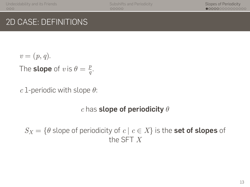## Undecidability and its Friends Subshifts and Periodicity Slopes of Periodicity

2D CASE: DEFINITIONS

 $v = (p, q).$ The **slope** of *v* is  $\theta = \frac{p}{q}$  $\frac{p}{q}$ .

*c* 1-periodic with slope *θ*:

#### *c* has slope of periodicity *θ*

*S*<sub>*X*</sub> = { $\theta$  slope of periodicity of  $c \mid c \in X$ } is the set of slopes of the SFT *X*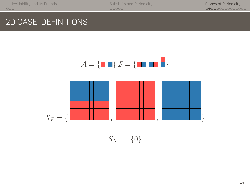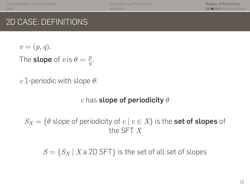#### Undecidability and its Friends Subshifts and Periodicity Slopes of Periodicity Slopes of Periodicity Slopes of Periodicity Slopes of Periodicity Slopes of Periodicity Slopes of Periodicity Slopes of Periodicity Slopes of P

2D CASE: DEFINITIONS

 $v = (p, q).$ 

The **slope** of *v* is  $\theta = \frac{p}{q}$  $\frac{p}{q}$ .

*c* 1-periodic with slope *θ*:

#### *c* has slope of periodicity *θ*

*S*<sub>*X*</sub> = { $\theta$  slope of periodicity of  $c \mid c \in X$ } is the set of slopes of the SFT *X*

 $S = \{S_X | X \text{ a 2D SFT}\}\$ is the set of all set of slopes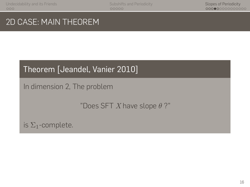2D CASE: MAIN THEOREM

#### Theorem [Jeandel, Vanier 2010]

In dimension 2, The problem

"Does SFT *X* have slope *θ* ?"

is  $\Sigma_1$ -complete.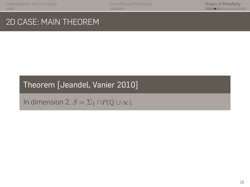2D CASE: MAIN THEOREM

Theorem [Jeandel, Vanier 2010]

In dimension 2,  $S = \Sigma_1 \cap P(\mathbb{Q} \cup \infty)$ .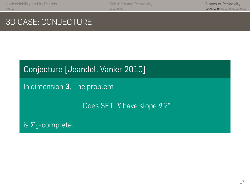3D CASE: CONJECTURE

Conjecture [Jeandel, Vanier 2010]

In dimension 3, The problem

"Does SFT *X* have slope *θ* ?"

is  $\Sigma_2$ -complete.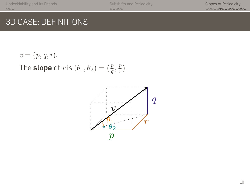## Undecidability and its Friends Subshifts and Periodicity Slopes of Periodicity 3D CASE: DEFINITIONS

$$
v = (p, q, r).
$$
  
The **slope** of v is  $(\theta_1, \theta_2) = (\frac{p}{q}, \frac{p}{r})$ 

![](_page_23_Figure_2.jpeg)

 $\frac{p}{r}$ .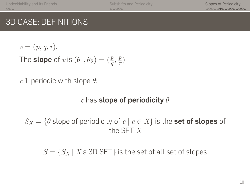#### Undecidability and its Friends Subshifts and Periodicity Slopes of Periodicity Slopes of Periodicity Slopes of Periodicity Slopes of Periodicity Slopes of Periodicity Slopes of Periodicity Slopes of Periodicity Slopes of P

3D CASE: DEFINITIONS

 $v = (p, q, r).$ 

The **slope** of *v* is  $(\theta_1, \theta_2) = (\frac{p}{q}, \frac{p}{r})$  $\frac{p}{r}$ ).

*c* 1-periodic with slope *θ*:

#### *c* has slope of periodicity *θ*

*S*<sub>*X*</sub> = { $\theta$  slope of periodicity of  $c \mid c \in X$ } is the set of slopes of the SFT *X*

 $S = \{S_X | X \text{ a 3D SFT}\}\$ is the set of all set of slopes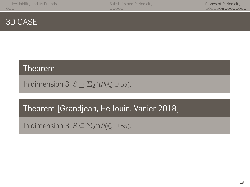Undecidability and its Friends Subshifts and Periodicity Slopes of Periodicity

3D CASE

#### Theorem

In dimension 3,  $S \supseteq \Sigma_2 \cap P(\mathbb{Q} \cup \infty)$ .

Theorem [Grandjean, Hellouin, Vanier 2018]

In dimension 3,  $S \subseteq \Sigma_2 \cap P(\mathbb{Q} \cup \infty)$ .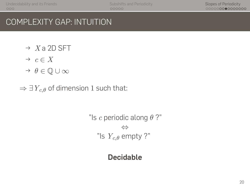COMPLEXITY GAP: INTUITION

- → *X* a 2D SFT
- → *c ∈ X*
- → *θ ∈* Q *∪ ∞*

*⇒ ∃Yc,θ* of dimension 1 such that:

"Is *c* periodic along *θ* ?" *⇔* "Is  $Y_{c,\theta}$  empty ?"

#### Decidable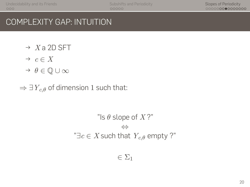COMPLEXITY GAP: INTUITION

 $\rightarrow$  *X* a 2D SFT

→ *c ∈ X*

→ *θ ∈* Q *∪ ∞*

*⇒ ∃Yc,θ* of dimension 1 such that:

"Is  $\theta$  slope of  $X$ ?" *⇔* " $∃c ∈ X$  such that  $Y_{c,θ}$  empty ?"

*∈* Σ<sup>1</sup>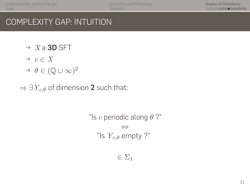COMPLEXITY GAP: INTUITION

 $\rightarrow X$  a **3D** SFT

- → *c ∈ X*
- $\rightarrow \theta \in (\mathbb{Q} \cup \infty)^2$

*⇒ ∃Yc,θ* of dimension 2 such that:

"Is *c* periodic along *θ* ?" *⇔* "Is *Yc,θ* empty ?"

*∈* Σ<sup>1</sup>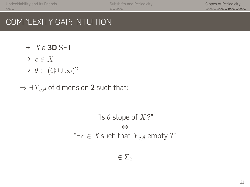COMPLEXITY GAP: INTUITION

 $\rightarrow X$  a **3D** SFT

→ *c ∈ X*

$$
\rightarrow \theta \in (\mathbb{Q} \cup \infty)^2
$$

*⇒ ∃Yc,θ* of dimension 2 such that:

"Is  $\theta$  slope of  $X$ ?" *⇔* " $∃c ∈ X$  such that  $Y_{c,θ}$  empty ?"

 $\in \Sigma_2$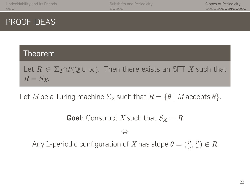#### PROOF IDEAS

#### Theorem

Let  $R \in \Sigma_2 \cap P(\mathbb{Q} \cup \infty)$ . Then there exists an SFT *X* such that  $R = S_X$ .

Let *M* be a Turing machine  $\Sigma_2$  such that  $R = \{ \theta \mid M \text{ accepts } \theta \}.$ 

**Goal**: Construct *X* such that  $S_X = R$ . *⇔*

Any 1-periodic configuration of *X* has slope  $\theta = (\frac{p}{q}, \frac{p}{r})$  $\frac{p}{r}$ )  $\in R$ .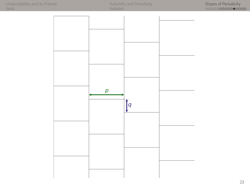![](_page_31_Figure_0.jpeg)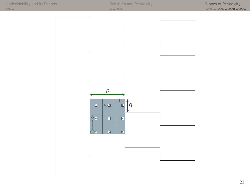![](_page_32_Figure_0.jpeg)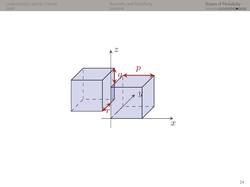![](_page_33_Figure_0.jpeg)

![](_page_33_Figure_1.jpeg)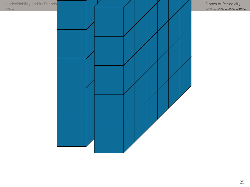![](_page_34_Figure_0.jpeg)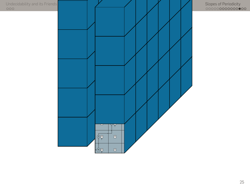![](_page_35_Figure_0.jpeg)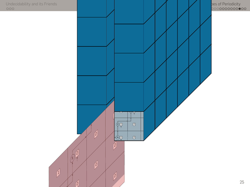![](_page_36_Figure_0.jpeg)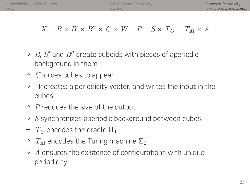Undecidability and its Friends Subshifts and Periodicity Slopes of Periodicity

 $X = B \times B' \times B'' \times C \times W \times P \times S \times T_O \times T_M \times A$ 

- $\rightarrow$  *B*, *B'* and *B''* create cuboids with pieces of aperiodic background in them
- → *C* forces cubes to appear
- → *W* creates a periodicity vector, and writes the input in the cubes
- → *P* reduces the size of the output
- → *S* synchronizes aperiodic background between cubes
- $\rightarrow T_O$  encodes the oracle  $\Pi_1$
- $\rightarrow T_M$  encodes the Turing machine  $\Sigma_2$
- → *A* ensures the existence of configurations with unique periodicity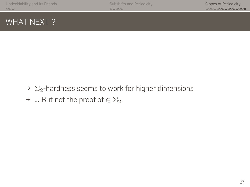Undecidability and its Friends Subshifts and Periodicity Slopes of Periodicity<br>  $0000$ <br>  $00000$ WHAT NEXT ?

- $\rightarrow \Sigma_2$ -hardness seems to work for higher dimensions
- → ... But not the proof of *∈* Σ2.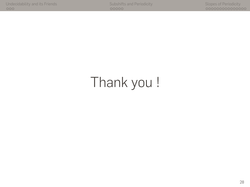![](_page_39_Picture_0.jpeg)

# Thank you !